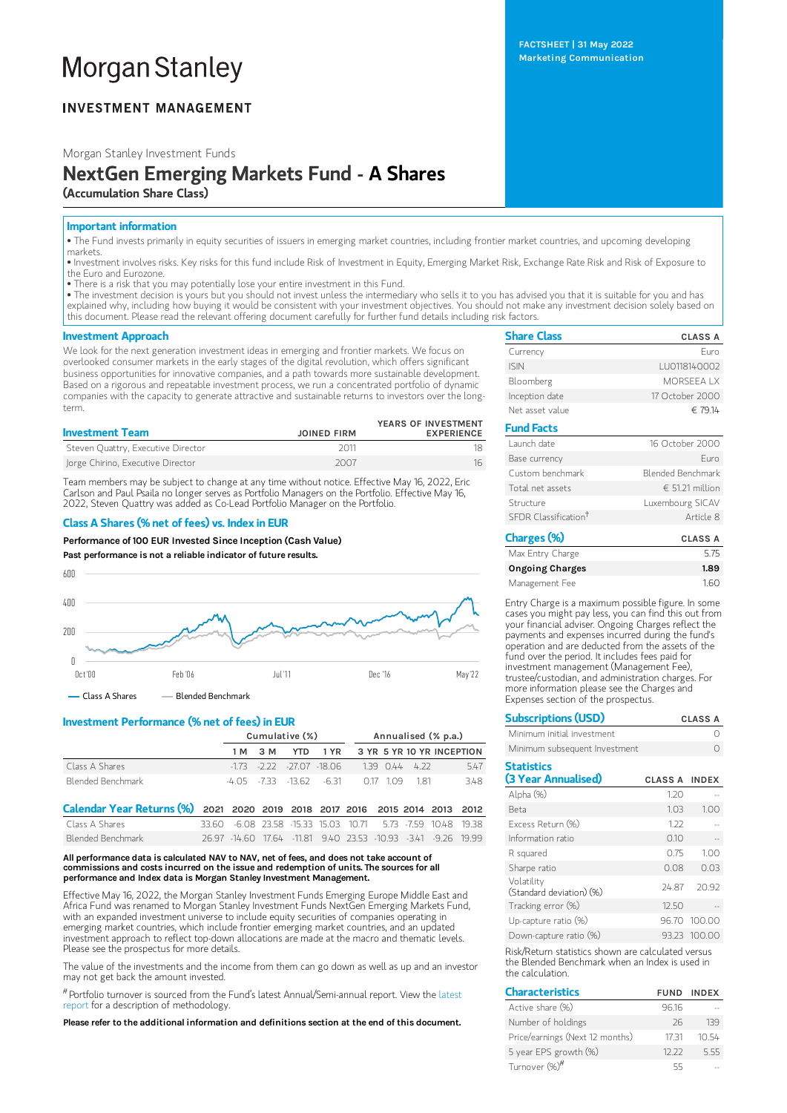# **Morgan Stanley**

# **INVESTMENT MANAGEMENT**

Morgan Stanley Investment Funds

# NextGen Emerging Markets Fund - A Shares (Accumulation Share Class)

## Important information

• The Fund invests primarily in equity securities of issuers in emerging market countries, including frontier market countries, and upcoming developing markets.

• Investment involves risks. Key risks for this fund include Risk of Investment in Equity, Emerging Market Risk, Exchange Rate Risk and Risk of Exposure to the Euro and Eurozone.

• There is a risk that you may potentially lose your entire investment in this Fund.

• The investment decision is yours but you should not invest unless the intermediary who sells it to you has advised you that it is suitable for you and has explained why, including how buying it would be consistent with your investment objectives. You should not make any investment decision solely based on this document. Please read the relevant offering document carefully for further fund details including risk factors.

### Investment Approach

We look for the next generation investment ideas in emerging and frontier markets. We focus on overlooked consumer markets in the early stages of the digital revolution, which offers significant business opportunities for innovative companies, and a path towards more sustainable development. Based on a rigorous and repeatable investment process, we run a concentrated portfolio of dynamic companies with the capacity to generate attractive and sustainable returns to investors over the longterm.

| <b>Investment Team</b>             | <b>JOINED FIRM</b> | YEARS OF INVESTMENT<br><b>EXPERIENCE</b> |
|------------------------------------|--------------------|------------------------------------------|
| Steven Quattry, Executive Director | 2011               |                                          |
| Jorge Chirino, Executive Director  | 2007               | 16                                       |

Team members may be subject to change at any time without notice. Effective May 16, 2022, Eric Carlson and Paul Psaila no longer serves as Portfolio Managers on the Portfolio. Effective May 16, 2022, Steven Quattry was added as Co-Lead Portfolio Manager on the Portfolio.

## Class A Shares (% net of fees) vs. Index in EUR

Performance of 100 EUR Invested Since Inception (Cash Value)

Past performance is not a reliable indicator of future results.



 $\overline{\phantom{a}}$  Class A Shares  $\overline{\phantom{a}}$  Blended Benchmark

# Investment Performance (% net of fees) in EUR

|                   | Cumulative (%) |  |                                 | Annualised (% p.a.) |  |               |                                    |
|-------------------|----------------|--|---------------------------------|---------------------|--|---------------|------------------------------------|
|                   | 1 M 3 M        |  |                                 |                     |  |               | YTD 1 YR 3 YR 5 YR 10 YR INCEPTION |
| Class A Shares    |                |  | $-173 - 222 - 2707 - 1806$      |                     |  | $139044$ 4.22 | 547                                |
| Blended Benchmark |                |  | $-4.05$ $-733$ $-13.62$ $-6.31$ |                     |  | 0.17 109 1.81 | 348                                |

| Calendar Year Returns (%) 2021 2020 2019 2018 2017 2016 2015 2014 2013 2012 |                                                               |  |  |  |  |
|-----------------------------------------------------------------------------|---------------------------------------------------------------|--|--|--|--|
| Class A Shares                                                              | 33.60 -6.08 23.58 -15.33 15.03 10.71 5.73 -7.59 10.48 19.38   |  |  |  |  |
| Blended Benchmark                                                           | 26.97 -14.60 17.64 -11.81 9.40 23.53 -10.93 -3.41 -9.26 19.99 |  |  |  |  |

#### All performance data is calculated NAV to NAV, net of fees, and does not take account of commissions and costs incurred on the issue and redemption of units. The sources for all performance and Index data is Morgan Stanley Investment Management.

Effective May 16, 2022, the Morgan Stanley Investment Funds Emerging Europe Middle East and Africa Fund was renamed to Morgan Stanley Investment Funds NextGen Emerging Markets Fund, with an expanded investment universe to include equity securities of companies operating in emerging market countries, which include frontier emerging market countries, and an updated investment approach to reflect top-down allocations are made at the macro and thematic levels. Please see the prospectus for more details.

The value of the investments and the income from them can go down as well as up and an investor may not get back the amount invested.

# Portfolio turnover is sourced from the Fund's latest [Annual/Semi-annual](https://www.morganstanley.com/im/msinvf/index.html) report. View the latest report for a description of methodology.

Please refer to the additional information and definitions section at the end of this document.

| <b>Share Class</b> | <b>CLASS A</b>  |
|--------------------|-----------------|
| Currency           | Furo            |
| <b>ISIN</b>        | LU0118140002    |
| Bloomberg          | MORSFFA I X     |
| Inception date     | 17 October 2000 |
| Net asset value    | $\in$ 7914      |

# Fund Facts

| . unu ratts                      |                   |
|----------------------------------|-------------------|
| Launch date                      | 16 October 2000   |
| Base currency                    | Furo              |
| Custom benchmark                 | Blended Benchmark |
| Total net assets                 | € 51.21 million   |
| Structure                        | Luxembourg SICAV  |
| SEDR Classification <sup>†</sup> | Article 8         |
| Charges (%)                      | <b>CLASS A</b>    |
| Max Entry Charge                 | 5.75              |
| <b>Ongoing Charges</b>           | 1.89              |

| 160<br>Management Fee                                                                                                                                                                                                                                                      |  |
|----------------------------------------------------------------------------------------------------------------------------------------------------------------------------------------------------------------------------------------------------------------------------|--|
| Entry Charge is a maximum possible figure. In some<br>cases you might pay less, you can find this out from<br>your financial adviser. Ongoing Charges reflect the<br>payments and expenses incurred during the fund's<br>operation and are deducted from the assets of the |  |
| fund over the period. It includes fees paid for                                                                                                                                                                                                                            |  |

investment management (Management Fee), trustee/custodian, and administration charges. For more information please see the Charges and Expenses section of the prospectus.

| <b>Subscriptions (USD)</b>    | <b>CLASS A</b> |
|-------------------------------|----------------|
| Minimum initial investment    |                |
| Minimum subsequent Investment |                |

| <b>Statistics</b>                      |                      |              |
|----------------------------------------|----------------------|--------------|
| (3 Year Annualised)                    | <b>CLASS A INDEX</b> |              |
| Alpha (%)                              | 1.20                 |              |
| <b>Beta</b>                            | 1.03                 | 1.00         |
| Excess Return (%)                      | 1.22                 |              |
| Information ratio                      | 0.10                 |              |
| R squared                              | 0.75                 | 1.00         |
| Sharpe ratio                           | 0.08                 | 0.03         |
| Volatility<br>(Standard deviation) (%) | 2487                 | 20.92        |
| Tracking error (%)                     | 12.50                |              |
| Up-capture ratio (%)                   |                      | 96.70 100.00 |
| Down-capture ratio (%)                 |                      | 93.23 100.00 |

Risk/Return statistics shown are calculated versus the Blended Benchmark when an Index is used in the calculation.

| <b>Characteristics</b>          |       | <b>FUND INDEX</b> |
|---------------------------------|-------|-------------------|
| Active share (%)                | 9616  |                   |
| Number of holdings              | 26    | 139               |
| Price/earnings (Next 12 months) | 17 31 | 10 54             |
| 5 year EPS growth (%)           | 1222  | 555               |
| Turnover (%) <sup>#</sup>       | トト    |                   |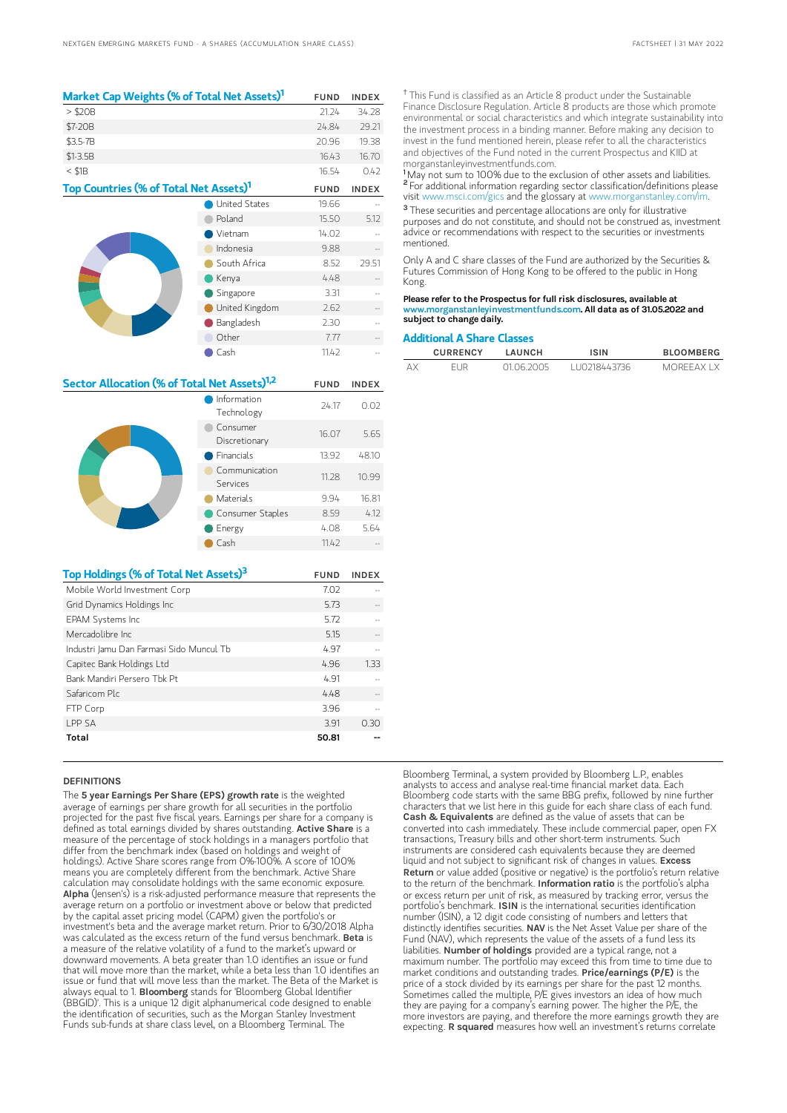| Market Cap Weights (% of Total Net Assets) <sup>1</sup> |                      | <b>FUND</b> | <b>INDEX</b> |
|---------------------------------------------------------|----------------------|-------------|--------------|
| $>$ \$20B                                               |                      | 21.24       | 34.28        |
| \$7-20B                                                 |                      | 24.84       | 29.21        |
| \$3.5-7B                                                |                      | 20.96       | 19.38        |
| $$1-3.5B$                                               |                      | 16.43       | 16.70        |
| $<$ \$1B                                                |                      | 16.54       | 0.42         |
| Top Countries (% of Total Net Assets) <sup>1</sup>      |                      | <b>FUND</b> | <b>INDEX</b> |
|                                                         | <b>United States</b> | 19.66       |              |
|                                                         | Poland               | 15.50       | 5.12         |
|                                                         | Vietnam              | 14.02       |              |
|                                                         | Indonesia            | 9.88        |              |
|                                                         | South Africa         | 8.52        | 29.51        |
|                                                         | Kenya                | 4.48        |              |
|                                                         | Singapore            | 3.31        |              |
|                                                         | United Kingdom       | 2.62        |              |
|                                                         | Bangladesh           | 2.30        |              |
|                                                         | Other                | 7.77        |              |
|                                                         | Cash                 | 11.42       |              |

| Sector Allocation (% of Total Net Assets) <sup>1,2</sup> |                           | <b>FUND</b> | <b>INDEX</b> |
|----------------------------------------------------------|---------------------------|-------------|--------------|
|                                                          | Information<br>Technology | 24.17       | 0.02         |
|                                                          | Consumer<br>Discretionary | 16.07       | 5.65         |
|                                                          | Financials                | 13.92       | 48.10        |
|                                                          | Communication<br>Services | 11.28       | 10.99        |
|                                                          | <b>Materials</b>          | 9.94        | 16.81        |
|                                                          | Consumer Staples          | 8.59        | 4.12         |
|                                                          | Energy                    | 4.08        | 5.64         |
|                                                          | Cash                      | 11.42       |              |
|                                                          |                           |             |              |
| Top Holdings (% of Total Net Assets) <sup>3</sup>        |                           | <b>FUND</b> | <b>INDEX</b> |
| Mobile World Investment Corp                             |                           | 7.02        |              |
| Grid Dynamics Holdings Inc                               |                           | 5.73        |              |
| EPAM Systems Inc                                         |                           | 5.72        |              |
| Mercadolibre Inc                                         |                           | 5.15        |              |
| Industri Jamu Dan Farmasi Sido Muncul Tb                 |                           | 4.97        |              |

Capitec Bank Holdings Ltd 4.96 1.33 Bank Mandiri Persero Tbk Pt 4.91 Safaricom Plc 4.48

 $FTP$  Corp  $\hspace{1.6cm}3.96$  -- $LPP$  SA  $3.91$  0.30 Total 50.81 --

#### **DEFINITIONS**

The 5 year Earnings Per Share (EPS) growth rate is the weighted average of earnings per share growth for all securities in the portfolio projected for the past five fiscal years. Earnings per share for a company is defined as total earnings divided by shares outstanding. Active Share is a measure of the percentage of stock holdings in a managers portfolio that differ from the benchmark index (based on holdings and weight of holdings). Active Share scores range from 0%-100%. A score of 100% means you are completely different from the benchmark. Active Share calculation may consolidate holdings with the same economic exposure. Alpha (Jensen's) is a risk-adjusted performance measure that represents the average return on a portfolio or investment above or below that predicted by the capital asset pricing model (CAPM) given the portfolio's or investment's beta and the average market return. Prior to 6/30/2018 Alpha was calculated as the excess return of the fund versus benchmark. Beta is a measure of the relative volatility of a fund to the market's upward or downward movements. A beta greater than 1.0 identifies an issue or fund that will move more than the market, while a beta less than 1.0 identifies an issue or fund that will move less than the market. The Beta of the Market is<br>always equal to 1. **Bioomberg** stands for 'Bloomberg Global Identifier (BBGID)'. This is a unique 12 digit alphanumerical code designed to enable the identification of securities, such as the Morgan Stanley Investment Funds sub-funds at share class level, on a Bloomberg Terminal. The

<sup>†</sup> This Fund is classified as an Article 8 product under the Sustainable Finance Disclosure Regulation. Article 8 products are those which promote environmental or social characteristics and which integrate sustainability into the investment process in a binding manner. Before making any decision to invest in the fund mentioned herein, please refer to all the characteristics and objectives of the Fund noted in the current Prospectus and KIID at morganstanleyinvestmentfunds.com.

<sup>1</sup>May not sum to 100% due to the exclusion of other assets and liabilities. <sup>2</sup> For additional information regarding sector classification/definitions please visit www.msci.com/gics and the glossary at www.morganstanley.com/im.

<sup>3</sup> These securities and percentage allocations are only for illustrative purposes and do not constitute, and should not be construed as, investment advice or recommendations with respect to the securities or investments mentioned.

Only A and C share classes of the Fund are authorized by the Securities & Futures Commission of Hong Kong to be offered to the public in Hong Kong.

Please refer to the Prospectus for full risk disclosures, available at www.morganstanleyinvestmentfunds.com. All data as of 31.05.2022 and subject to change daily.

#### Additional A Share Classes

|    | <b>CURRENCY</b> | LAUNCH     | <b>ISIN</b>   | <b>BLOOMBERG</b> |
|----|-----------------|------------|---------------|------------------|
| AX | FI JR           | 01 06 2005 | 1110218443736 | MORFFAX I X      |

Bloomberg Terminal, a system provided by Bloomberg L.P., enables analysts to access and analyse real-time financial market data. Each Bloomberg code starts with the same BBG prefix, followed by nine further characters that we list here in this guide for each share class of each fund. Cash & Equivalents are defined as the value of assets that can be converted into cash immediately. These include commercial paper, open FX transactions, Treasury bills and other short-term instruments. Such instruments are considered cash equivalents because they are deemed liquid and not subject to significant risk of changes in values. Excess Return or value added (positive or negative) is the portfolio's return relative to the return of the benchmark. Information ratio is the portfolio's alpha or excess return per unit of risk, as measured by tracking error, versus the portfolio's benchmark. ISIN is the international securities identification number (ISIN), a 12 digit code consisting of numbers and letters that distinctly identifies securities. NAV is the Net Asset Value per share of the Fund (NAV), which represents the value of the assets of a fund less its liabilities. Number of holdings provided are a typical range, not a maximum number. The portfolio may exceed this from time to time due to market conditions and outstanding trades. Price/earnings (P/E) is the price of a stock divided by its earnings per share for the past 12 months. Sometimes called the multiple, P/E gives investors an idea of how much they are paying for a company's earning power. The higher the P/E, the more investors are paying, and therefore the more earnings growth they are expecting. R squared measures how well an investment's returns correlate